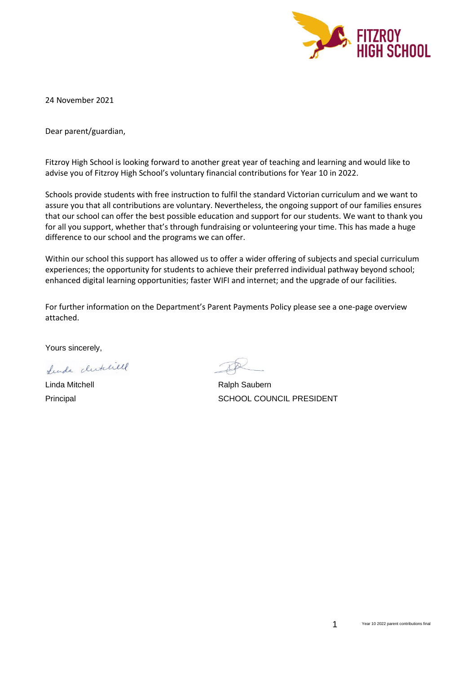

24 November 2021

Dear parent/guardian,

Fitzroy High School is looking forward to another great year of teaching and learning and would like to advise you of Fitzroy High School's voluntary financial contributions for Year 10 in 2022.

Schools provide students with free instruction to fulfil the standard Victorian curriculum and we want to assure you that all contributions are voluntary. Nevertheless, the ongoing support of our families ensures that our school can offer the best possible education and support for our students. We want to thank you for all you support, whether that's through fundraising or volunteering your time. This has made a huge difference to our school and the programs we can offer.

Within our school this support has allowed us to offer a wider offering of subjects and special curriculum experiences; the opportunity for students to achieve their preferred individual pathway beyond school; enhanced digital learning opportunities; faster WIFI and internet; and the upgrade of our facilities.

For further information on the Department's Parent Payments Policy please see a one-page overview attached.

Yours sincerely,

Lunda clublical

Linda Mitchell **Ralph Saubern** Ralph Saubern

Principal SCHOOL COUNCIL PRESIDENT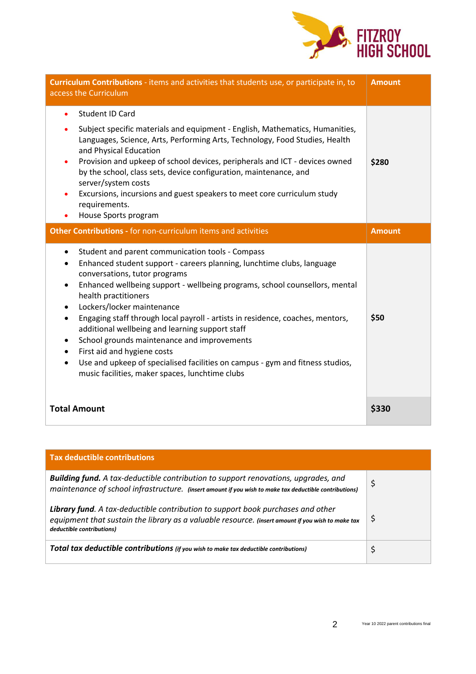

| Curriculum Contributions - items and activities that students use, or participate in, to<br>access the Curriculum                                                                                                                                                                                                                                                                                                                                                                                                                                                                                                                                                                                                                                               | <b>Amount</b>         |
|-----------------------------------------------------------------------------------------------------------------------------------------------------------------------------------------------------------------------------------------------------------------------------------------------------------------------------------------------------------------------------------------------------------------------------------------------------------------------------------------------------------------------------------------------------------------------------------------------------------------------------------------------------------------------------------------------------------------------------------------------------------------|-----------------------|
| Student ID Card<br>$\bullet$<br>Subject specific materials and equipment - English, Mathematics, Humanities,<br>Languages, Science, Arts, Performing Arts, Technology, Food Studies, Health<br>and Physical Education<br>Provision and upkeep of school devices, peripherals and ICT - devices owned<br>by the school, class sets, device configuration, maintenance, and<br>server/system costs<br>Excursions, incursions and guest speakers to meet core curriculum study<br>requirements.<br>House Sports program                                                                                                                                                                                                                                            | \$280                 |
| Other Contributions - for non-curriculum items and activities<br>Student and parent communication tools - Compass<br>$\bullet$<br>Enhanced student support - careers planning, lunchtime clubs, language<br>conversations, tutor programs<br>Enhanced wellbeing support - wellbeing programs, school counsellors, mental<br>$\bullet$<br>health practitioners<br>Lockers/locker maintenance<br>Engaging staff through local payroll - artists in residence, coaches, mentors,<br>additional wellbeing and learning support staff<br>School grounds maintenance and improvements<br>First aid and hygiene costs<br>Use and upkeep of specialised facilities on campus - gym and fitness studios,<br>$\bullet$<br>music facilities, maker spaces, lunchtime clubs | <b>Amount</b><br>\$50 |
| <b>Total Amount</b>                                                                                                                                                                                                                                                                                                                                                                                                                                                                                                                                                                                                                                                                                                                                             | \$330                 |

| <b>Tax deductible contributions</b>                                                                                                                                                                               |    |
|-------------------------------------------------------------------------------------------------------------------------------------------------------------------------------------------------------------------|----|
| <b>Building fund.</b> A tax-deductible contribution to support renovations, upgrades, and<br>maintenance of school infrastructure. (insert amount if you wish to make tax deductible contributions)               | \$ |
| Library fund. A tax-deductible contribution to support book purchases and other<br>equipment that sustain the library as a valuable resource. (insert amount if you wish to make tax<br>deductible contributions) | \$ |
| Total tax deductible contributions (if you wish to make tax deductible contributions)                                                                                                                             |    |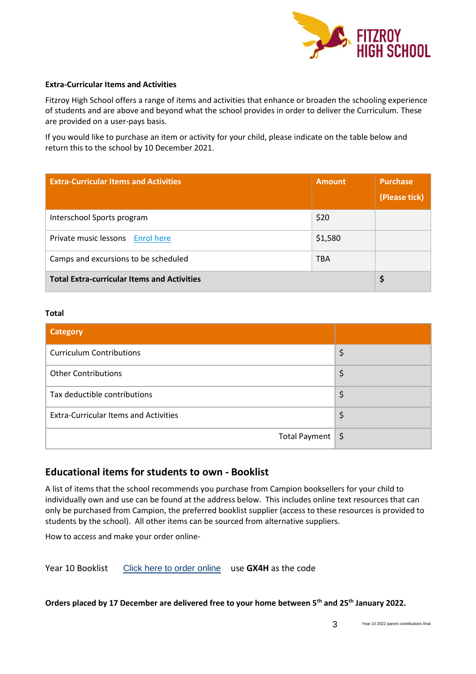

### **Extra-Curricular Items and Activities**

Fitzroy High School offers a range of items and activities that enhance or broaden the schooling experience of students and are above and beyond what the school provides in order to deliver the Curriculum. These are provided on a user-pays basis.

If you would like to purchase an item or activity for your child, please indicate on the table below and return this to the school by 10 December 2021.

| <b>Extra-Curricular Items and Activities</b>       | <b>Amount</b> | <b>Purchase</b><br>(Please tick) |
|----------------------------------------------------|---------------|----------------------------------|
| Interschool Sports program                         | \$20          |                                  |
| Private music lessons Enrol here                   | \$1,580       |                                  |
| Camps and excursions to be scheduled               | <b>TBA</b>    |                                  |
| <b>Total Extra-curricular Items and Activities</b> |               |                                  |

#### **Total**

| <b>Category</b>                              |    |
|----------------------------------------------|----|
| <b>Curriculum Contributions</b>              | \$ |
| <b>Other Contributions</b>                   | \$ |
| Tax deductible contributions                 | \$ |
| <b>Extra-Curricular Items and Activities</b> | \$ |
| Total Payment   \$                           |    |

# **Educational items for students to own - Booklist**

A list of items that the school recommends you purchase from Campion booksellers for your child to individually own and use can be found at the address below. This includes online text resources that can only be purchased from Campion, the preferred booklist supplier (access to these resources is provided to students by the school). All other items can be sourced from alternative suppliers.

How to access and make your order online-

Year 10 Booklist [Click here to order online](https://order.campion.com.au/index.html#resourceListListView?code=P34YMWMC) use **GX4H** as the code

**Orders placed by 17 December are delivered free to your home between 5th and 25th January 2022.**

3 Year 10 2022 parent contributions final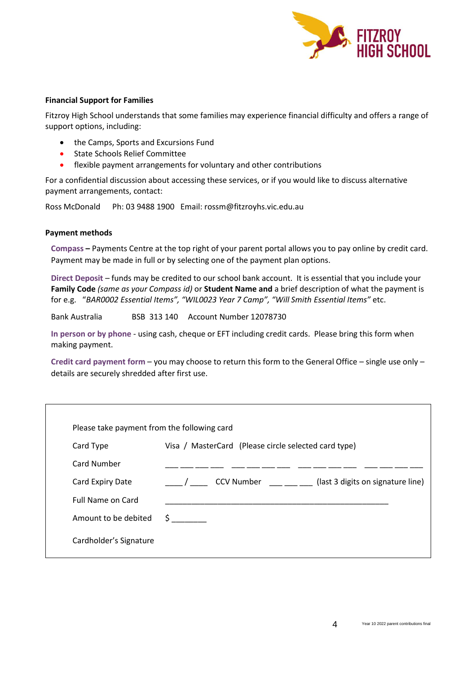

#### **Financial Support for Families**

Fitzroy High School understands that some families may experience financial difficulty and offers a range of support options, including:

- the Camps, Sports and Excursions Fund
- State Schools Relief Committee
- flexible payment arrangements for voluntary and other contributions

For a confidential discussion about accessing these services, or if you would like to discuss alternative payment arrangements, contact:

Ross McDonald Ph: 03 9488 1900 Email: rossm@fitzroyhs.vic.edu.au

#### **Payment methods**

**Compass –** Payments Centre at the top right of your parent portal allows you to pay online by credit card. Payment may be made in full or by selecting one of the payment plan options.

**Direct Deposit** – funds may be credited to our school bank account. It is essential that you include your **Family Code** *(same as your Compass id)* or **Student Name and** a brief description of what the payment is for e.g. "*BAR0002 Essential Items", "WIL0023 Year 7 Camp", "Will Smith Essential Items"* etc.

Bank Australia BSB 313 140 Account Number 12078730

**In person or by phone** - using cash, cheque or EFT including credit cards. Please bring this form when making payment.

**Credit card payment form** – you may choose to return this form to the General Office – single use only – details are securely shredded after first use.

|                          | Please take payment from the following card          |                                   |  |  |  |  |
|--------------------------|------------------------------------------------------|-----------------------------------|--|--|--|--|
| Card Type                | Visa / MasterCard (Please circle selected card type) |                                   |  |  |  |  |
| <b>Card Number</b>       |                                                      |                                   |  |  |  |  |
| Card Expiry Date         | <b>CCV Number</b>                                    | (last 3 digits on signature line) |  |  |  |  |
| <b>Full Name on Card</b> |                                                      |                                   |  |  |  |  |
| Amount to be debited     | S.                                                   |                                   |  |  |  |  |
| Cardholder's Signature   |                                                      |                                   |  |  |  |  |